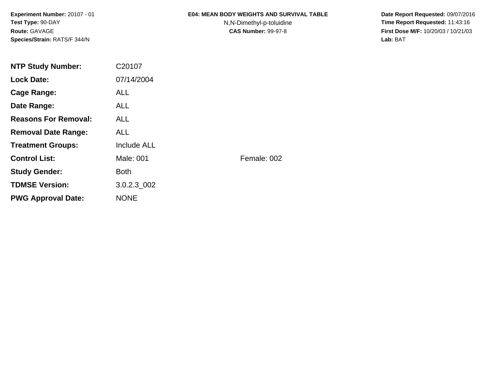**Experiment Number:** 20107 - 01**Test Type:** 90-DAY**Route:** GAVAGE**Species/Strain:** RATS/F 344/N

### **E04: MEAN BODY WEIGHTS AND SURVIVAL TABLE**

N,N-Dimethyl-p-toluidine

 **Date Report Requested:** 09/07/2016 **Time Report Requested:** 11:43:16 **First Dose M/F:** 10/20/03 / 10/21/03<br>**Lab:** BAT **Lab:** BAT

| <b>NTP Study Number:</b>    | C20107             |             |
|-----------------------------|--------------------|-------------|
| <b>Lock Date:</b>           | 07/14/2004         |             |
| Cage Range:                 | <b>ALL</b>         |             |
| Date Range:                 | ALL.               |             |
| <b>Reasons For Removal:</b> | ALL.               |             |
| <b>Removal Date Range:</b>  | <b>ALL</b>         |             |
| <b>Treatment Groups:</b>    | <b>Include ALL</b> |             |
| <b>Control List:</b>        | Male: 001          | Female: 002 |
| <b>Study Gender:</b>        | <b>Both</b>        |             |
| <b>TDMSE Version:</b>       | 3.0.2.3 002        |             |
| <b>PWG Approval Date:</b>   | <b>NONE</b>        |             |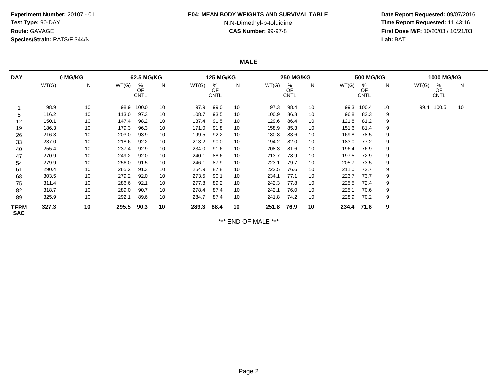## **Experiment Number:** 20107 - 01**Test Type:** 90-DAY**Route:** GAVAGE**Species/Strain:** RATS/F 344/N

#### **E04: MEAN BODY WEIGHTS AND SURVIVAL TABLE**

# N,N-Dimethyl-p-toluidine

 **Date Report Requested:** 09/07/2016 **Time Report Requested:** 11:43:16 **First Dose M/F:** 10/20/03 / 10/21/03<br>**Lab:** BAT **Lab:** BAT

**MALE**

| <b>DAY</b>         | 0 MG/KG |    | 62.5 MG/KG |                        | <b>125 MG/KG</b> |       |                        | <b>250 MG/KG</b> |       |                        |    | <b>500 MG/KG</b> |                        | <b>1000 MG/KG</b> |       |                        |    |
|--------------------|---------|----|------------|------------------------|------------------|-------|------------------------|------------------|-------|------------------------|----|------------------|------------------------|-------------------|-------|------------------------|----|
|                    | WT(G)   | N  | WT(G)      | %<br>OF<br><b>CNTL</b> | N                | WT(G) | %<br>OF<br><b>CNTL</b> | N                | WT(G) | %<br>OF<br><b>CNTL</b> | N  | WT(G)            | %<br>OF<br><b>CNTL</b> | N.                | WT(G) | %<br>OF<br><b>CNTL</b> | N  |
|                    | 98.9    | 10 | 98.9       | 100.0                  | 10               | 97.9  | 99.0                   | 10               | 97.3  | 98.4                   | 10 | 99.3             | 100.4                  | 10                | 99.4  | 100.5                  | 10 |
| 5                  | 116.2   | 10 | 113.0      | 97.3                   | 10               | 108.7 | 93.5                   | 10               | 100.9 | 86.8                   | 10 | 96.8             | 83.3                   | 9                 |       |                        |    |
| 12                 | 150.1   | 10 | 147.4      | 98.2                   | 10               | 137.4 | 91.5                   | 10               | 129.6 | 86.4                   | 10 | 121.8            | 81.2                   | 9                 |       |                        |    |
| 19                 | 186.3   | 10 | 179.3      | 96.3                   | 10               | 171.0 | 91.8                   | 10               | 158.9 | 85.3                   | 10 | 151.6            | 81.4                   | 9                 |       |                        |    |
| 26                 | 216.3   | 10 | 203.0      | 93.9                   | 10               | 199.5 | 92.2                   | 10               | 180.8 | 83.6                   | 10 | 169.8            | 78.5                   | 9                 |       |                        |    |
| 33                 | 237.0   | 10 | 218.6      | 92.2                   | 10               | 213.2 | 90.0                   | 10               | 194.2 | 82.0                   | 10 | 183.0            | 77.2                   | 9                 |       |                        |    |
| 40                 | 255.4   | 10 | 237.4      | 92.9                   | 10               | 234.0 | 91.6                   | 10               | 208.3 | 81.6                   | 10 | 196.4            | 76.9                   | 9                 |       |                        |    |
| 47                 | 270.9   | 10 | 249.2      | 92.0                   | 10               | 240.1 | 88.6                   | 10               | 213.7 | 78.9                   | 10 | 197.5            | 72.9                   | 9                 |       |                        |    |
| 54                 | 279.9   | 10 | 256.0      | 91.5                   | 10               | 246.1 | 87.9                   | 10               | 223.1 | 79.7                   | 10 | 205.7            | 73.5                   | 9                 |       |                        |    |
| 61                 | 290.4   | 10 | 265.2      | 91.3                   | 10               | 254.9 | 87.8                   | 10               | 222.5 | 76.6                   | 10 | 211.0            | 72.7                   | 9                 |       |                        |    |
| 68                 | 303.5   | 10 | 279.2      | 92.0                   | 10               | 273.5 | 90.1                   | 10               | 234.1 | 77.1                   | 10 | 223.7            | 73.7                   | 9                 |       |                        |    |
| 75                 | 311.4   | 10 | 286.6      | 92.1                   | 10               | 277.8 | 89.2                   | 10               | 242.3 | 77.8                   | 10 | 225.5            | 72.4                   | 9                 |       |                        |    |
| 82                 | 318.7   | 10 | 289.0      | 90.7                   | 10               | 278.4 | 87.4                   | 10               | 242.1 | 76.0                   | 10 | 225.1            | 70.6                   | 9                 |       |                        |    |
| 89                 | 325.9   | 10 | 292.1      | 89.6                   | 10               | 284.7 | 87.4                   | 10               | 241.8 | 74.2                   | 10 | 228.9            | 70.2                   | 9                 |       |                        |    |
| TERM<br><b>SAC</b> | 327.3   | 10 | 295.5      | 90.3                   | 10               | 289.3 | 88.4                   | 10               | 251.8 | 76.9                   | 10 | 234.4            | 71.6                   | 9                 |       |                        |    |

\*\*\* END OF MALE \*\*\*